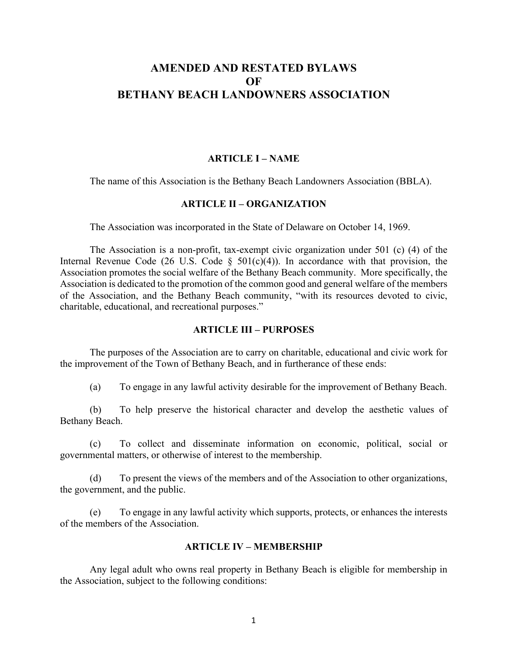# **AMENDED AND RESTATED BYLAWS OF BETHANY BEACH LANDOWNERS ASSOCIATION**

#### **ARTICLE I – NAME**

The name of this Association is the Bethany Beach Landowners Association (BBLA).

#### **ARTICLE II – ORGANIZATION**

The Association was incorporated in the State of Delaware on October 14, 1969.

The Association is a non-profit, tax-exempt civic organization under 501 (c) (4) of the Internal Revenue Code (26 U.S. Code  $\S$  501(c)(4)). In accordance with that provision, the Association promotes the social welfare of the Bethany Beach community. More specifically, the Association is dedicated to the promotion of the common good and general welfare of the members of the Association, and the Bethany Beach community, "with its resources devoted to civic, charitable, educational, and recreational purposes."

## **ARTICLE III – PURPOSES**

The purposes of the Association are to carry on charitable, educational and civic work for the improvement of the Town of Bethany Beach, and in furtherance of these ends:

(a) To engage in any lawful activity desirable for the improvement of Bethany Beach.

(b) To help preserve the historical character and develop the aesthetic values of Bethany Beach.

(c) To collect and disseminate information on economic, political, social or governmental matters, or otherwise of interest to the membership.

(d) To present the views of the members and of the Association to other organizations, the government, and the public.

(e) To engage in any lawful activity which supports, protects, or enhances the interests of the members of the Association.

#### **ARTICLE IV – MEMBERSHIP**

Any legal adult who owns real property in Bethany Beach is eligible for membership in the Association, subject to the following conditions: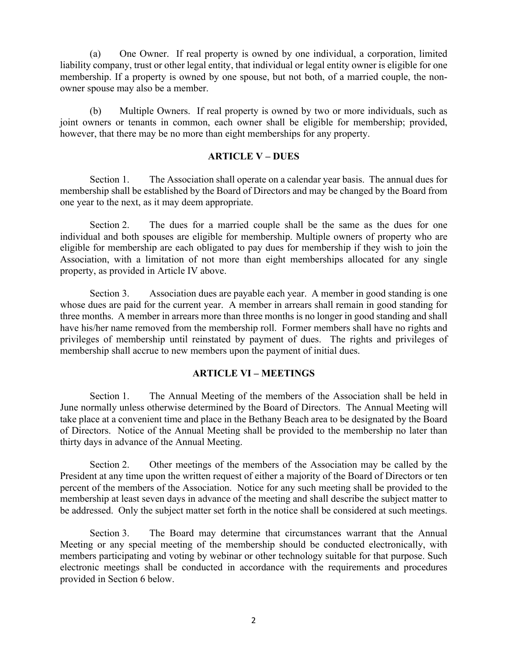(a) One Owner. If real property is owned by one individual, a corporation, limited liability company, trust or other legal entity, that individual or legal entity owner is eligible for one membership. If a property is owned by one spouse, but not both, of a married couple, the nonowner spouse may also be a member.

(b) Multiple Owners. If real property is owned by two or more individuals, such as joint owners or tenants in common, each owner shall be eligible for membership; provided, however, that there may be no more than eight memberships for any property.

## **ARTICLE V – DUES**

Section 1. The Association shall operate on a calendar year basis. The annual dues for membership shall be established by the Board of Directors and may be changed by the Board from one year to the next, as it may deem appropriate.

Section 2. The dues for a married couple shall be the same as the dues for one individual and both spouses are eligible for membership. Multiple owners of property who are eligible for membership are each obligated to pay dues for membership if they wish to join the Association, with a limitation of not more than eight memberships allocated for any single property, as provided in Article IV above.

Section 3. Association dues are payable each year. A member in good standing is one whose dues are paid for the current year. A member in arrears shall remain in good standing for three months. A member in arrears more than three months is no longer in good standing and shall have his/her name removed from the membership roll. Former members shall have no rights and privileges of membership until reinstated by payment of dues. The rights and privileges of membership shall accrue to new members upon the payment of initial dues.

# **ARTICLE VI – MEETINGS**

Section 1. The Annual Meeting of the members of the Association shall be held in June normally unless otherwise determined by the Board of Directors. The Annual Meeting will take place at a convenient time and place in the Bethany Beach area to be designated by the Board of Directors. Notice of the Annual Meeting shall be provided to the membership no later than thirty days in advance of the Annual Meeting.

Section 2. Other meetings of the members of the Association may be called by the President at any time upon the written request of either a majority of the Board of Directors or ten percent of the members of the Association. Notice for any such meeting shall be provided to the membership at least seven days in advance of the meeting and shall describe the subject matter to be addressed. Only the subject matter set forth in the notice shall be considered at such meetings.

Section 3. The Board may determine that circumstances warrant that the Annual Meeting or any special meeting of the membership should be conducted electronically, with members participating and voting by webinar or other technology suitable for that purpose. Such electronic meetings shall be conducted in accordance with the requirements and procedures provided in Section 6 below.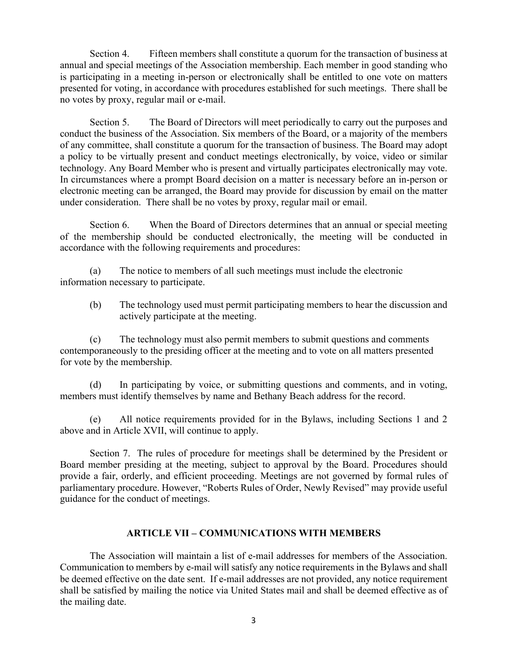Section 4. Fifteen members shall constitute a quorum for the transaction of business at annual and special meetings of the Association membership. Each member in good standing who is participating in a meeting in-person or electronically shall be entitled to one vote on matters presented for voting, in accordance with procedures established for such meetings. There shall be no votes by proxy, regular mail or e-mail.

Section 5. The Board of Directors will meet periodically to carry out the purposes and conduct the business of the Association. Six members of the Board, or a majority of the members of any committee, shall constitute a quorum for the transaction of business. The Board may adopt a policy to be virtually present and conduct meetings electronically, by voice, video or similar technology. Any Board Member who is present and virtually participates electronically may vote. In circumstances where a prompt Board decision on a matter is necessary before an in-person or electronic meeting can be arranged, the Board may provide for discussion by email on the matter under consideration. There shall be no votes by proxy, regular mail or email.

Section 6. When the Board of Directors determines that an annual or special meeting of the membership should be conducted electronically, the meeting will be conducted in accordance with the following requirements and procedures:

(a) The notice to members of all such meetings must include the electronic information necessary to participate.

(b) The technology used must permit participating members to hear the discussion and actively participate at the meeting.

(c) The technology must also permit members to submit questions and comments contemporaneously to the presiding officer at the meeting and to vote on all matters presented for vote by the membership.

(d) In participating by voice, or submitting questions and comments, and in voting, members must identify themselves by name and Bethany Beach address for the record.

(e) All notice requirements provided for in the Bylaws, including Sections 1 and 2 above and in Article XVII, will continue to apply.

Section 7. The rules of procedure for meetings shall be determined by the President or Board member presiding at the meeting, subject to approval by the Board. Procedures should provide a fair, orderly, and efficient proceeding. Meetings are not governed by formal rules of parliamentary procedure. However, "Roberts Rules of Order, Newly Revised" may provide useful guidance for the conduct of meetings.

# **ARTICLE VII – COMMUNICATIONS WITH MEMBERS**

The Association will maintain a list of e-mail addresses for members of the Association. Communication to members by e-mail will satisfy any notice requirements in the Bylaws and shall be deemed effective on the date sent. If e-mail addresses are not provided, any notice requirement shall be satisfied by mailing the notice via United States mail and shall be deemed effective as of the mailing date.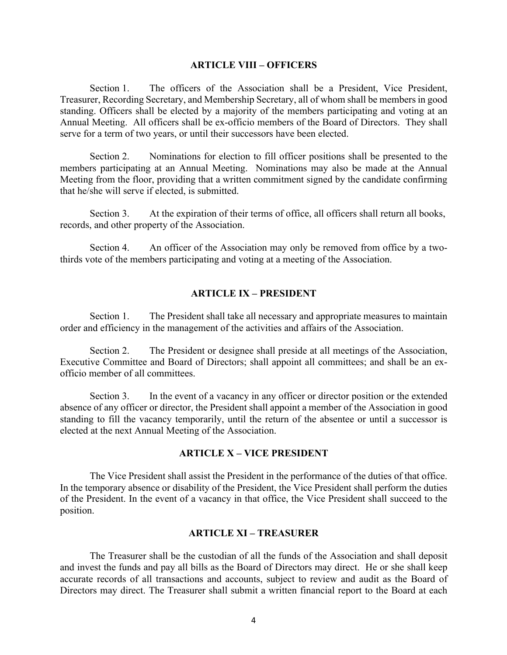#### **ARTICLE VIII – OFFICERS**

Section 1. The officers of the Association shall be a President, Vice President, Treasurer, Recording Secretary, and Membership Secretary, all of whom shall be members in good standing. Officers shall be elected by a majority of the members participating and voting at an Annual Meeting. All officers shall be ex-officio members of the Board of Directors. They shall serve for a term of two years, or until their successors have been elected.

Section 2. Nominations for election to fill officer positions shall be presented to the members participating at an Annual Meeting. Nominations may also be made at the Annual Meeting from the floor, providing that a written commitment signed by the candidate confirming that he/she will serve if elected, is submitted.

Section 3. At the expiration of their terms of office, all officers shall return all books, records, and other property of the Association.

Section 4. An officer of the Association may only be removed from office by a twothirds vote of the members participating and voting at a meeting of the Association.

#### **ARTICLE IX – PRESIDENT**

Section 1. The President shall take all necessary and appropriate measures to maintain order and efficiency in the management of the activities and affairs of the Association.

Section 2. The President or designee shall preside at all meetings of the Association, Executive Committee and Board of Directors; shall appoint all committees; and shall be an exofficio member of all committees.

Section 3. In the event of a vacancy in any officer or director position or the extended absence of any officer or director, the President shall appoint a member of the Association in good standing to fill the vacancy temporarily, until the return of the absentee or until a successor is elected at the next Annual Meeting of the Association.

#### **ARTICLE X – VICE PRESIDENT**

The Vice President shall assist the President in the performance of the duties of that office. In the temporary absence or disability of the President, the Vice President shall perform the duties of the President. In the event of a vacancy in that office, the Vice President shall succeed to the position.

#### **ARTICLE XI – TREASURER**

The Treasurer shall be the custodian of all the funds of the Association and shall deposit and invest the funds and pay all bills as the Board of Directors may direct. He or she shall keep accurate records of all transactions and accounts, subject to review and audit as the Board of Directors may direct. The Treasurer shall submit a written financial report to the Board at each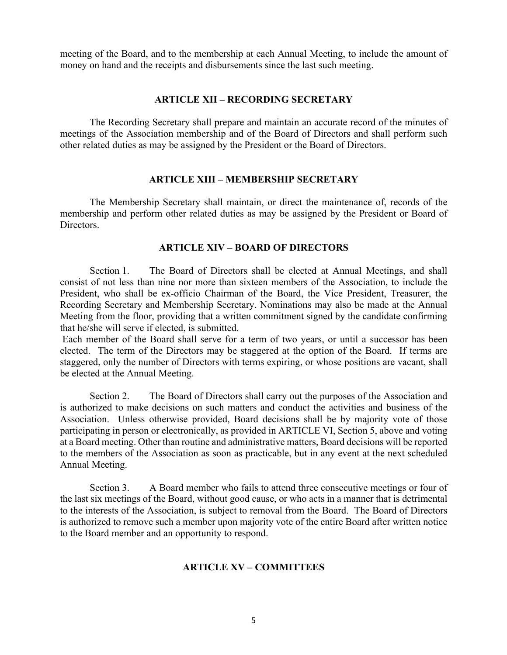meeting of the Board, and to the membership at each Annual Meeting, to include the amount of money on hand and the receipts and disbursements since the last such meeting.

#### **ARTICLE XII – RECORDING SECRETARY**

The Recording Secretary shall prepare and maintain an accurate record of the minutes of meetings of the Association membership and of the Board of Directors and shall perform such other related duties as may be assigned by the President or the Board of Directors.

#### **ARTICLE XIII – MEMBERSHIP SECRETARY**

The Membership Secretary shall maintain, or direct the maintenance of, records of the membership and perform other related duties as may be assigned by the President or Board of Directors.

#### **ARTICLE XIV – BOARD OF DIRECTORS**

Section 1. The Board of Directors shall be elected at Annual Meetings, and shall consist of not less than nine nor more than sixteen members of the Association, to include the President, who shall be ex-officio Chairman of the Board, the Vice President, Treasurer, the Recording Secretary and Membership Secretary. Nominations may also be made at the Annual Meeting from the floor, providing that a written commitment signed by the candidate confirming that he/she will serve if elected, is submitted.

Each member of the Board shall serve for a term of two years, or until a successor has been elected. The term of the Directors may be staggered at the option of the Board. If terms are staggered, only the number of Directors with terms expiring, or whose positions are vacant, shall be elected at the Annual Meeting.

Section 2. The Board of Directors shall carry out the purposes of the Association and is authorized to make decisions on such matters and conduct the activities and business of the Association. Unless otherwise provided, Board decisions shall be by majority vote of those participating in person or electronically, as provided in ARTICLE VI, Section 5, above and voting at a Board meeting. Other than routine and administrative matters, Board decisions will be reported to the members of the Association as soon as practicable, but in any event at the next scheduled Annual Meeting.

Section 3. A Board member who fails to attend three consecutive meetings or four of the last six meetings of the Board, without good cause, or who acts in a manner that is detrimental to the interests of the Association, is subject to removal from the Board. The Board of Directors is authorized to remove such a member upon majority vote of the entire Board after written notice to the Board member and an opportunity to respond.

#### **ARTICLE XV – COMMITTEES**